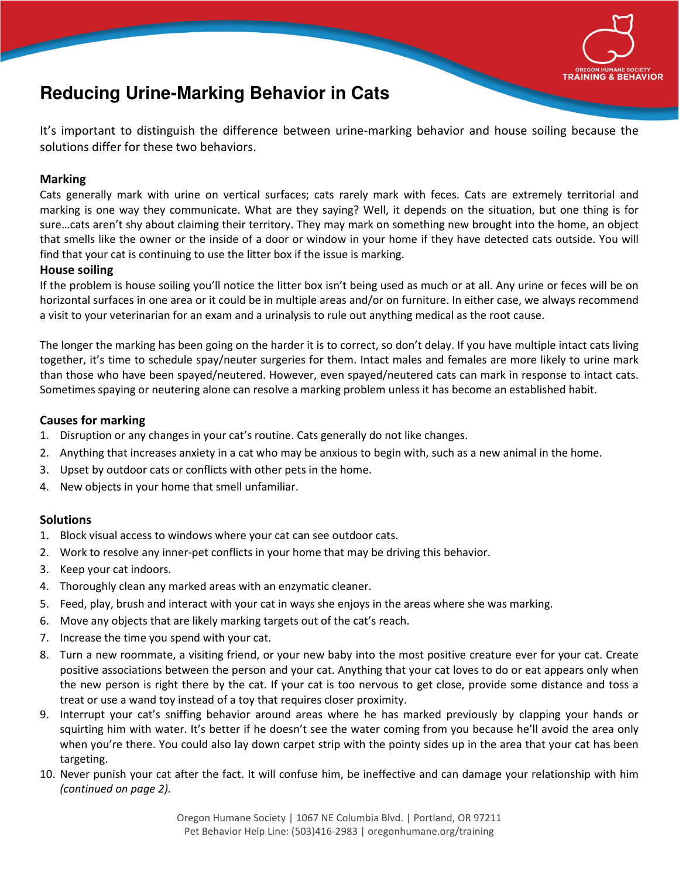

# **Reducing Urine-Marking Behavior in Cats**

It's important to distinguish the difference between urine-marking behavior and house soiling because the solutions differ for these two behaviors.

## **Marking**

Cats generally mark with urine on vertical surfaces; cats rarely mark with feces. Cats are extremely territorial and marking is one way they communicate. What are they saying? Well, it depends on the situation, but one thing is for sure…cats aren't shy about claiming their territory. They may mark on something new brought into the home, an object that smells like the owner or the inside of a door or window in your home if they have detected cats outside. You will find that your cat is continuing to use the litter box if the issue is marking.

#### **House soiling**

If the problem is house soiling you'll notice the litter box isn't being used as much or at all. Any urine or feces will be on horizontal surfaces in one area or it could be in multiple areas and/or on furniture. In either case, we always recommend a visit to your veterinarian for an exam and a urinalysis to rule out anything medical as the root cause.

The longer the marking has been going on the harder it is to correct, so don't delay. If you have multiple intact cats living together, it's time to schedule spay/neuter surgeries for them. Intact males and females are more likely to urine mark than those who have been spayed/neutered. However, even spayed/neutered cats can mark in response to intact cats. Sometimes spaying or neutering alone can resolve a marking problem unless it has become an established habit.

#### **Causes for marking**

- 1. Disruption or any changes in your cat's routine. Cats generally do not like changes.
- 2. Anything that increases anxiety in a cat who may be anxious to begin with, such as a new animal in the home.
- 3. Upset by outdoor cats or conflicts with other pets in the home.
- 4. New objects in your home that smell unfamiliar.

## **Solutions**

- 1. Block visual access to windows where your cat can see outdoor cats.
- 2. Work to resolve any inner-pet conflicts in your home that may be driving this behavior.
- 3. Keep your cat indoors.
- 4. Thoroughly clean any marked areas with an enzymatic cleaner.
- 5. Feed, play, brush and interact with your cat in ways she enjoys in the areas where she was marking.
- 6. Move any objects that are likely marking targets out of the cat's reach.
- 7. Increase the time you spend with your cat.
- 8. Turn a new roommate, a visiting friend, or your new baby into the most positive creature ever for your cat. Create positive associations between the person and your cat. Anything that your cat loves to do or eat appears only when the new person is right there by the cat. If your cat is too nervous to get close, provide some distance and toss a treat or use a wand toy instead of a toy that requires closer proximity.
- 9. Interrupt your cat's sniffing behavior around areas where he has marked previously by clapping your hands or squirting him with water. It's better if he doesn't see the water coming from you because he'll avoid the area only when you're there. You could also lay down carpet strip with the pointy sides up in the area that your cat has been targeting.
- 10. Never punish your cat after the fact. It will confuse him, be ineffective and can damage your relationship with him *(continued on page 2).*